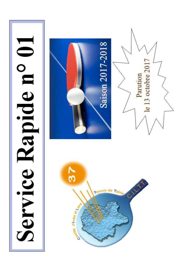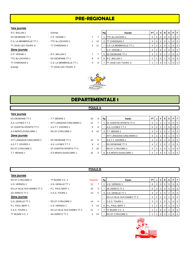# **PRE-REGIONALE**

#### **1ère journée**

- ES OESIENNE TT 2 <sup>-</sup> C.P. VEIGNE 1 7 C.S. LA MEMBROLLE TT 1 - TTC du LOCHOIS 1 13 2 2 1 TT JOUE LES TOURS 6 - TT CHINONAIS 2 3 TTC du LOCHOIS 1 - ES OESIENNE TT 2 9
- 
- 
- 
- -
- 
- 
- 
- TT CHINONAIS 2 C.S. LA MEMBROLLE TT 1 5
- Exempt TT JOUE LES TOURS 6

| R.C. BALLAN 2          | - Exempt                 |   |    | Rg | Equipe                  | PT. |                |                 | N              | D | PIF            |                  |
|------------------------|--------------------------|---|----|----|-------------------------|-----|----------------|-----------------|----------------|---|----------------|------------------|
| ES OESIENNE TT 2       | - C.P. VEIGNE 1          |   |    |    | TTC du LOCHOIS 1        | 6   |                | $2 \mid 2 \mid$ | $\overline{0}$ |   | 0 <sub>1</sub> |                  |
| C.S. LA MEMBROLLE TT 1 | - TTC du LOCHOIS 1       |   | 13 |    | <b>CHINONAIS 2</b>      |     |                |                 |                |   |                | $\overline{1}$ 0 |
| TT JOUE LES TOURS 6    | - TT CHINONAIS 2         | 3 | 11 |    | C.S. LA MEMBROLLE TT 1  |     |                |                 |                |   |                | $\overline{0}$   |
| 2ème journée           |                          |   |    |    | C.P. VEIGNE 1           |     |                |                 | $^{\prime}$ 2  |   |                | 0 <sub>0</sub>   |
| C.P. VEIGNE 1          | - R.C. BALLAN 2          |   |    | 5  | <b>ES OESIENNE TT 2</b> | 3   | 2 <sub>1</sub> |                 |                |   |                | $\overline{0}$   |
| TTC du LOCHOIS 1       | - ES OESIENNE TT 2       | 9 |    |    | R.C. BALLAN 2           |     |                |                 |                |   |                | $\overline{0}$   |
| TT CHINONAIS 2         | - C.S. LA MEMBROLLE TT 1 | 5 |    |    | TT JOUE LES TOURS 6     |     |                |                 |                |   | 0 <sub>0</sub> |                  |



# **DEPARTEMENTALE 1**

#### **POULE A**

#### **1ère journée**

## ES OESIENNE TT 3 **FRAGE RESOLUTE PT 3 RG** EXP. T.T. BENAIS 1 A.S. LUYNES T.T 2 - ATT LANGEAIS-CINQ MARS 2 11 ST AVERTIN SPORTS TT 3 - A S.T.T. ESVRES 1 9 A.S MONTLOUIS/LOIRE 1 - RS ST CYR/LOIRE 2 8 ATT LANGEAIS-CINQ MARS 2 - ES OESIENNE TT 3 12 A.S.T.T. ESVRES 1 - A.S. LUYNES T.T 2 9 RS ST CYR/LOIRE 2 - ST AVERTIN SPORTS TT 3 3 T.T. BENAIS 1 <sup>-</sup> A.S MONTLOUIS/LOIRE 1 2 3 3 8 A.S MONTLOUIS

| ES OESIENNE TT 3             | - T.T. BENAIS 1            | 10                | 8  | Rg | Equipe                         | PT I | J              |                | N | D | P I | F                        |
|------------------------------|----------------------------|-------------------|----|----|--------------------------------|------|----------------|----------------|---|---|-----|--------------------------|
| A.S. LUYNES T.T 2            | - ATT LANGEAIS-CINQ MARS 2 | 11                |    |    | <b>IST AVERTIN SPORTS TT 3</b> |      |                |                |   | 0 |     | 0 0                      |
| ST AVERTIN SPORTS TT 3       | - A.S.T.T. ESVRES 1        | 9                 | 9  |    | A.S. LUYNES T.T 2              |      |                |                |   |   |     | $\overline{\phantom{0}}$ |
| <b>A.S MONTLOUIS/LOIRE 1</b> | - RS ST CYR/LOIRE 2        | 8                 | 10 |    | <b>IT.T. BENAIS 1</b>          |      |                |                |   |   |     | $J \mid 0$               |
| 2ème journée                 |                            |                   |    |    | ATT LANGEAIS-CINQ MARS 2       |      |                |                |   |   |     | 0   0                    |
| ATT LANGEAIS-CINQ MARS 2     | - ES OESIENNE TT 3         | $12 \overline{ }$ | 6  |    | A.S.T.T. ESVRES 1              |      |                | $\overline{0}$ | 2 | 0 |     | $01$ 0                   |
| A.S.T.T. ESVRES 1            | - A.S. LUYNES T.T.2        | 9                 | 9  |    | <b>IES OESIENNE TT 3</b>       |      | $\overline{2}$ |                |   |   |     | $01$ 0                   |
| RS ST CYR/LOIRE 2            | - ST AVERTIN SPORTS TT 3   | 3                 | 15 |    | <b>RS ST CYR/LOIRE 2</b>       |      |                |                |   |   |     | $\overline{0}$           |
| T.T. BENAIS 1                | - A.S MONTLOUIS/LOIRE 1    | 15                |    | 8  | A.S MONTLOUIS/LOIRE 1          |      | 2 <sup>1</sup> |                |   |   |     | $01$ 0                   |

#### **POULE B**

| 1ère journée             |
|--------------------------|
| <b>RS ST CYR/LOIRE 3</b> |
| U.S. VERNOU 1            |

- 
- U.S. GENILLE TT 1 11 11
- U.S. GENILLE TT 1 RS ST CYR/LOIRE 3 14

- P.L. PAUL BERT 1 U.S. VERNOU 1 5
- C.E.S. TOURS 1 ES LA VILLE AUX DAMES TT 3 11
- TT BLERE V.C. 2 AS VERETZ TT 2 4

| RS ST CYR/LOIRE 3          | - TT BLERE V.C. 2            | Reporté |    | Rg | Equipe                            | <b>PT</b> | V                | N        |   | PIF            |                |
|----------------------------|------------------------------|---------|----|----|-----------------------------------|-----------|------------------|----------|---|----------------|----------------|
| U.S. VERNOU 1              | - U.S. GENILLE TT 1          | 11      |    |    | U.S. VERNOU 1                     | 6         | 2                | 0        |   |                | $\overline{0}$ |
| ES LA VILLE AUX DAMES TT 3 | - P.L. PAUL BERT 1           | 15      | 3  |    | AS VERETZ TT 2                    | 6         | 2                | $\Omega$ | 0 | 0 <sub>0</sub> |                |
| AS VERETZ TT 2             | - C.E.S. TOURS 1             | 13      | 5  |    | 3 U.S. GENILLE TT 1               |           |                  |          |   |                | $\overline{0}$ |
| 2ème journée               |                              |         |    |    | <b>ES LA VILLE AUX DAMES TT 3</b> |           |                  |          |   |                | $\overline{0}$ |
| U.S. GENILLE TT 1          | - RS ST CYR/LOIRE 3          | 14      | 4  |    | <b>C.E.S. TOURS 1</b>             |           |                  |          |   |                | $\overline{0}$ |
| P.L. PAUL BERT 1           | - U.S. VERNOU 1              | 5       | 13 |    | 6 P.L. PAUL BERT 1                |           | 20               | $\Omega$ | 2 | 0 <sub>0</sub> |                |
| C.E.S. TOURS 1             | - ES LA VILLE AUX DAMES TT 3 | 11      |    |    | TT BLERE V.C. 2                   |           | $\mathbf{0}$     |          |   |                | $\overline{1}$ |
| TT BLERE V.C. 2            | - AS VERETZ TT 2             | 4       | 14 |    | <b>RS ST CYR/LOIRE 3</b>          |           | $\overline{1}$ 0 |          |   |                | $\overline{0}$ |

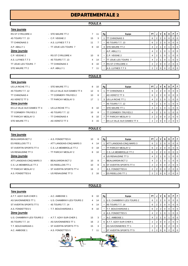# **DEPARTEMENTALE 2**

## **POULE A**

| 1ère journée             |                              |                   |                |                |                            |           |                |                |                |                |                                                     |                          |
|--------------------------|------------------------------|-------------------|----------------|----------------|----------------------------|-----------|----------------|----------------|----------------|----------------|-----------------------------------------------------|--------------------------|
| <b>RS ST CYR/LOIRE 4</b> | - STE MAURE TT 2             | $7^{\circ}$       | 11             | Rg             | Equipe                     | <b>PT</b> |                | V              | N              | D              | PIF                                                 |                          |
| 4S TOURS T.T. 13         | - C.P. VEIGNE 2              | 15                | 3              |                | <b>TT CHINONAIS 3</b>      | 6         | 2              | $\overline{2}$ | 0              | 0              | $\mathbf{0}$                                        | $\overline{\phantom{0}}$ |
| <b>TT CHINONAIS 3</b>    | - A.S. LUYNES T.T 3          | 11                | $\overline{7}$ | ٠              | 4S TOURS T.T. 13           | 6         | $\mathbf{2}$   | $\overline{2}$ | 0              | 0 <sup>1</sup> | $\overline{\phantom{0}}$ 0 $\overline{\phantom{0}}$ | $\overline{0}$           |
| A.P. ABILLY 1            | - TT JOUE LES TOURS 7        | 8                 | 10             | 3              | <b>STE MAURE TT 2</b>      | 4         | 2              |                | 0              |                | 0 <sup>0</sup>                                      |                          |
| 2ème journée             |                              |                   |                | $\sim$         | A.P. ABILLY 1              | 4         | $2^{\circ}$    | -1             | $\mathbf{0}$   |                | 0 <sup>1</sup>                                      | $\overline{0}$           |
| C.P. VEIGNE 2            | - RS ST CYR/LOIRE 4          | 10 <sup>°</sup>   | 8              |                | C.P. VEIGNE 2              | 4         | 2              |                | 0              |                | 0 <sup>1</sup>                                      |                          |
| A.S. LUYNES T.T 3        | - 4S TOURS T.T. 13           | $\overline{4}$    | 14             |                | <b>TT JOUE LES TOURS 7</b> | 4         | $\overline{2}$ |                | $\mathbf{0}$   |                | $0$   0                                             |                          |
| TT JOUE LES TOURS 7      | - TT CHINONAIS 3             | 8                 | 10             | $\overline{7}$ | <b>RS ST CYR/LOIRE 4</b>   | 2         | $\overline{2}$ | 0              | $\overline{0}$ | 2 <sub>1</sub> | $0$   0                                             |                          |
| STE MAURE TT 2           | - A.P. ABILLY 1              | $\overline{7}$    | 11             | $\sim$         | A.S. LUYNES T.T 3          | 2         | $2^{\circ}$    | $\overline{0}$ | $\mathbf{0}$   | 2 <sup>1</sup> | $0$   0                                             |                          |
|                          |                              |                   |                |                |                            |           |                |                |                |                |                                                     |                          |
|                          |                              |                   | <b>POULE B</b> |                |                            |           |                |                |                |                |                                                     |                          |
| 1ère journée             |                              |                   |                |                |                            |           |                |                |                |                |                                                     |                          |
| US LA RICHE TT 1         | - STE MAURE TT 1             | 8                 | 10             | Rg             | Equipe                     | <b>PT</b> | J              | V              | N              | D              | PF                                                  |                          |
| 4S TOURS T.T. 12         | - ES LA VILLE AUX DAMES TT 4 | $12 \overline{ }$ | 6              |                | <b>TT CHINONAIS 4</b>      | 6         | $\mathbf{2}$   | $\overline{2}$ | $\mathbf{0}$   | $\overline{0}$ | $\mathbf{0}$                                        | $\mathbf 0$              |
| <b>TT CHINONAIS 4</b>    | - TT CORMERY-TRUYES 2        | 10                | 8              |                | <b>AS VERETZ TT 3</b>      | 6         |                | $\overline{2}$ | $\Omega$       | 0 <sup>1</sup> | $01$ 0                                              |                          |
|                          |                              |                   |                |                |                            |           |                |                |                |                |                                                     |                          |

#### 2ème journée

STE MAURE TT 1 - AS VERETZ TT 3 3 15

# AS VERETZ TT 3 - TT PARCAY MESLAY 3 17 ES LA VILLE AUX DAMES TT 4 - US LA RICHE TT 1 8 10 TT CORMERY-TRUYES 2 - 4S TOURS T.T. 12 10 TT PARCAY MESLAY 3 - TT CHINONAIS 4 2 2 2 3 10

| 0 | Rg | Equipe                     | PT             |                | v              | N        | D              | Р | F        |
|---|----|----------------------------|----------------|----------------|----------------|----------|----------------|---|----------|
| 6 |    | TT CHINONAIS 4             | 6              | 2              | 2              | 0        | O              | 0 | 0        |
| 8 |    | AS VERETZ TT 3             | 6              | 2              | $\overline{2}$ | $\Omega$ | 0              | 0 | $\Omega$ |
| 1 | 3  | US LA RICHE TT 1           | 4              | $\overline{2}$ |                | 0        |                | O | $\Omega$ |
|   |    | 4S TOURS T.T. 12           | 4              | 2              | 1              | O        |                | O | $\Omega$ |
| 0 |    | STE MAURE TT 1             | 4              | 2              |                | 0        |                | Ω | $\Omega$ |
| 8 |    | TT CORMERY-TRUYES 2        | 4              | $\overline{2}$ | 1              | O        | 1              | 0 | $\Omega$ |
| 0 |    | TT PARCAY MESLAY 3         | $\overline{2}$ | $\overline{2}$ | $\Omega$       | 0        | $\overline{2}$ | 0 | $\Omega$ |
| 5 |    | ES LA VILLE AUX DAMES TT 4 | 2              | 2              | 0              | 0        | 2              |   |          |

#### **POULE C**

| 1ère journée             |                            |                |    |    |                                 |           |   |                |          |                |                |                |
|--------------------------|----------------------------|----------------|----|----|---------------------------------|-----------|---|----------------|----------|----------------|----------------|----------------|
| <b>BEAUJARDIN BCT 2</b>  | - A.S. FONDETTES 6         | 10             | 8  | Rg | Equipe                          | <b>PT</b> | J |                | N        | D              | <b>P</b>       | -F             |
| <b>ES RIDELLOIS TT 1</b> | - ATT LANGEAIS-CINO MARS 3 | 4              | 14 |    | <b>ATT LANGEAIS-CINQ MARS 3</b> | 6         | 2 |                | 0        | $^{\rm o}$     |                | $\overline{0}$ |
| ST AVERTIN SPORTS TT 4   | - C.S. LA MEMBROLLE TT 2   | 0              | 18 |    | TT PARCAY MESLAY 2              | 6         | 2 | 2 <sup>1</sup> | 0        | $\Omega$       | $\Omega$       | $\overline{0}$ |
| US RENAUDINE TT 3        | - TT PARCAY MESLAY 2       | 8              | 10 |    | C.S. LA MEMBROLLE TT 2          | 6         | 2 |                | 0        | $\Omega$       | 0 <sub>0</sub> |                |
| 2ème journée             |                            |                |    | 4  | US RENAUDINE TT 3               | 4         | 2 |                |          |                |                | $\overline{0}$ |
| ATT LANGEAIS-CINO MARS 3 | - BEAUJARDIN BCT 2         | 10             | 8  |    | BEAUJARDIN BCT 2                | 4         | 2 |                |          |                | $\Omega$       | <b>0</b>       |
| C.S. LA MEMBROLLE TT 2   | - ES RIDELLOIS TT 1        | 10             | 8  | 6  | <b>ST AVERTIN SPORTS TT 4</b>   | 2         | 2 |                | $\Omega$ | $\overline{2}$ |                | $\Omega$       |
| TT PARCAY MESLAY 2       | - ST AVERTIN SPORTS TT 4   | 16             | 2  |    | A.S. FONDETTES 6                | 2         | 2 |                | $\Omega$ | $\overline{2}$ | 0 <sub>0</sub> |                |
| A.S. FONDETTES 6         | - US RENAUDINE TT 3        | $\overline{2}$ | 16 |    | <b>ES RIDELLOIS TT 1</b>        | 2         |   |                |          |                |                |                |
|                          |                            |                |    |    |                                 |           |   |                |          |                |                |                |

#### **POULE D**

| 1ère journée              |                             |                |    |    |                           |     |                |                |                       |   |                |                |
|---------------------------|-----------------------------|----------------|----|----|---------------------------|-----|----------------|----------------|-----------------------|---|----------------|----------------|
| A.T.T. AZAY-SUR-CHER 1    | - A.C. AMBOISE 1            | 8              | 10 | Rg | Equipe                    | PT. |                |                | N                     | D |                | -F             |
| AS SAVONNIERES TT 1       | - U.S. CHAMBRAY-LES-TOURS 2 | $\overline{4}$ | 14 |    | U.S. CHAMBRAY-LES-TOURS 2 | 6   | 2 <sub>1</sub> | $\overline{2}$ | $\mathbf{0}$          | 0 | 0              | <b>0</b>       |
| ST AVERTIN SPORTS TT 5    | - 4S TOURS T.T. 14          | $\overline{4}$ | 14 |    | 4S TOURS T.T. 14          | 6   | 2 <sub>1</sub> | 2 <sub>1</sub> | $\mathbf{0}$          | 0 |                | l 0            |
| A.S. FONDETTES 5          | - T.T. BOUCHARDAIS 1        | 8              | 10 |    | T.T. BOUCHARDAIS 1        | 6   | 2 <sub>1</sub> | $\overline{2}$ | 0                     | 0 |                | l 0            |
| 2ème journée              |                             |                |    | 4  | A.S. FONDETTES 5          | 4   | 2 <sub>1</sub> |                |                       |   |                | $\cdot$ 0      |
| U.S. CHAMBRAY-LES-TOURS 2 | - A.T.T. AZAY-SUR-CHER 1    | 15             | 3  |    | A.C. AMBOISE 1            | 4   | 2 <sub>1</sub> |                | $\Omega$              |   | $\Omega$       | <b>0</b>       |
| 4S TOURS T.T. 14          | - AS SAVONNIERES TT 1       | 16             | 2  | 6  | A.T.T. AZAY-SUR-CHER 1    | 2   |                |                | $2 \times 0 \times 0$ | 2 | $\overline{0}$ | $\overline{0}$ |
| T.T. BOUCHARDAIS 1        | - ST AVERTIN SPORTS TT 5    | 15             | 3  |    | AS SAVONNIERES TT 1       | 2   |                | 2 0            | $\overline{0}$        | 2 | $\overline{0}$ | <b>0</b>       |
| A.C. AMBOISE 1            | - A.S. FONDETTES 5          | $\overline{7}$ | 11 | ۰  | ST AVERTIN SPORTS TT 5    | 2   | 2 <sub>1</sub> | $\overline{0}$ |                       |   |                | <b>0</b>       |
|                           |                             |                |    |    |                           |     |                |                |                       |   |                |                |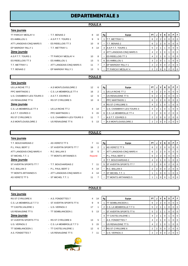# **DEPARTEMENTALE 3**

#### **POULE A**

| 1ère journée              |                             |                |                |                |                                 |                |                |                |                |                |                |                |
|---------------------------|-----------------------------|----------------|----------------|----------------|---------------------------------|----------------|----------------|----------------|----------------|----------------|----------------|----------------|
| TT PARCAY MESLAY 4        | - T.T. BENAIS 2             | 8              | 10             | Rg             | Equipe                          | <b>PT</b>      |                | V              | N              | D              | P              | F.             |
| <b>ES AMBILLOU 1</b>      | - A.S.P.T.T. TOURS 1        | 9              | 9              |                | <b>T.T. METTRAY 1</b>           | 6              | 2              | $\overline{2}$ | 0              | $\Omega$       | 0              | $\overline{0}$ |
| ATT LANGEAIS-CINQ MARS 5  | - ES RIDELLOIS TT 3         | 10             | 8              |                | <b>T.T. BENAIS 2</b>            | 6              | 2              | $\overline{2}$ | $\overline{0}$ | 0              | 0              | $\overline{0}$ |
| EP MARIGNY RILLY 1        | - T.T. METTRAY 1            | $\overline{4}$ | 14             |                | 3 A.S.P.T.T. TOURS 1            | 5              | 2              |                |                | $\Omega$       | 0              | $\overline{0}$ |
| 2ème journée              |                             |                |                | 4              | <b>ATT LANGEAIS-CINQ MARS 5</b> | 4              | $\overline{2}$ | 1              | $\mathbf 0$    |                | 0              | $\overline{0}$ |
| A.S.P.T.T. TOURS 1        | - TT PARCAY MESLAY 4        | 10             | 8              |                | <b>ES RIDELLOIS TT 3</b>        | 4              | $\overline{2}$ |                | $\overline{0}$ |                | 0              | $\overline{0}$ |
| <b>ES RIDELLOIS TT 3</b>  | - ES AMBILLOU 1             | 13             | 5              |                | 6 <b>ES AMBILLOU 1</b>          | 3              | 2              | $\mathbf 0$    |                |                | $\Omega$       | $\overline{0}$ |
| T.T. METTRAY 1            | - ATT LANGEAIS-CINQ MARS 5  | 11             | $\overline{7}$ | $\overline{7}$ | EP MARIGNY RILLY 1              | $\overline{2}$ | $\overline{2}$ | 0              | 0              | $\overline{2}$ | 0              | $\overline{0}$ |
| T.T. BENAIS 2             | - EP MARIGNY RILLY 1        | 13             | 5              | $\blacksquare$ | <b>ITT PARCAY MESLAY 4</b>      | 2              | 2              | $\mathbf 0$    | $\mathbf 0$    | $\overline{2}$ | $\overline{0}$ | $\overline{0}$ |
|                           |                             |                |                |                |                                 |                |                |                |                |                |                |                |
|                           |                             |                |                |                |                                 |                |                |                |                |                |                |                |
|                           |                             |                | <b>POULE B</b> |                |                                 |                |                |                |                |                |                |                |
| 1ère journée              |                             |                |                |                |                                 |                |                |                |                |                |                |                |
| US LA RICHE TT 2          | - A.S MONTLOUIS/LOIRE 2     | 12             | 6              | Rg             | Equipe                          | <b>PT</b>      | J              | V              | N I            | D I            | PF             |                |
| <b>PPC MARTINOIS 1</b>    | - C.S. LA MEMBROLLE TT 4    | 16             | 2              |                | US LA RICHE TT 2                | 6              | $\overline{2}$ | $\overline{2}$ | $\overline{0}$ | $\mathbf 0$    | 0              | $\overline{0}$ |
| U.S. CHAMBRAY-LES-TOURS 3 | - A.S.T.T. ESVRES 3         | 12             | 6              | $\sim$         | US RENAUDINE TT 6               | 6              | 2              | 2              | 0              | 0              | 0              | $\overline{0}$ |
| US RENAUDINE TT 6         | - RS ST CYR/LOIRE 5         | 10             | 8              |                | <b>PPC MARTINOIS 1</b>          | 6              | $\overline{2}$ | $\overline{2}$ | $\mathbf 0$    | 0              | 0              | $\overline{0}$ |
| <b>2ème journée</b>       |                             |                |                |                | <b>RS ST CYR/LOIRE 5</b>        | 4              | $\overline{2}$ |                | $\Omega$       |                | $\Omega$       | $\Omega$       |
| C.S. LA MEMBROLLE TT 4    | - US LA RICHE TT 2          | $\overline{4}$ | 14             |                | U.S. CHAMBRAY-LES-TOURS 3       | 4              | $\overline{2}$ | $\mathbf{1}$   | $\overline{0}$ |                | 0              | $\overline{0}$ |
| A.S.T.T. ESVRES 3         | - PPC MARTINOIS 1           | 3              | 15             |                | 6 C.S. LA MEMBROLLE TT 4        | 2              | $\overline{2}$ | 0              | 0              | 2              | 0              | $\Omega$       |
| <b>RS ST CYR/LOIRE 5</b>  | - U.S. CHAMBRAY-LES-TOURS 3 | 11             | $\overline{7}$ | ٠              | A.S.T.T. ESVRES 3               | 2              | 2              | 0              | 0              | 2              | 0              | $\overline{0}$ |

#### **POULE C**

| 1ère journée      |
|-------------------|
| T.T. BOUCHARDAIS: |
|                   |

P.L. PAUL BERT 2 - ST AVERTIN SPORTS TT 7 16 2ème journée

- ATT LANGEAIS-CINQ MARS 4 R.C. BALLAN 3 13 ST MICHEL T.T. 1 - TT MONTS ARTANNES 5 ST AVERTIN SPORTS TT 7 - T.T. BOUCHARDAIS 2 7 11 R.C. BALLAN 3 - P.L. PAUL BERT 2 4 1 TT MONTS ARTANNES 5 - ATT LANGEAIS-CINQ MARS 4 4 14
- AS VERETZ TT 5 ST MICHEL T.T. 1 11 7 TT MONTS ARTANNES 5 1 1 1 0 0 1 0 0 1

# Reporté

**POULE D**

| 2                | - AS VERETZ TT 5           |         | 11 | Rg | Equipe                        | <b>PT</b> | J              | v              | N           | D        | P.          |          |
|------------------|----------------------------|---------|----|----|-------------------------------|-----------|----------------|----------------|-------------|----------|-------------|----------|
|                  | - ST AVERTIN SPORTS TT 7   | 16      | 2  |    | AS VERETZ TT 5                | 6         | 2 <sup>1</sup> | 2 <sup>1</sup> | 0           | 0        | 0           | $\Omega$ |
| 2 MARS 4         | - R.C. BALLAN 3            | 13      | 5  |    | ATT LANGEAIS-CINQ MARS 4      | 6         | $\overline{2}$ | 2 <sub>1</sub> | $\Omega$    | $\Omega$ | $\Omega$    |          |
|                  | - TT MONTS ARTANNES 5      | Reporté |    | ۰  | P.L. PAUL BERT 2              | 6         | 2 <sub>1</sub> | 2 <sub>1</sub> | $\Omega$    |          | $\Omega$    | $\Omega$ |
|                  |                            |         |    | 4  | T.T. BOUCHARDAIS 2            | 4         | $\overline{2}$ |                | $\mathbf 0$ |          | $\Omega$    |          |
| STT <sub>7</sub> | - T.T. BOUCHARDAIS 2       |         | 11 | 5  | <b>ST AVERTIN SPORTS TT 7</b> |           | 2 <sup>1</sup> | $\mathbf{0}$   | 0           | 2        | $\Omega$    | $\Omega$ |
|                  | - P.L. PAUL BERT 2         | 4       | 14 |    | R.C. BALLAN 3                 |           | 2 <sup>1</sup> | $\mathbf{0}$   | $\mathbf 0$ | 2        | $\mathbf 0$ |          |
| ES <sub>5</sub>  | - ATT LANGEAIS-CINQ MARS 4 | 4       | 14 |    | ST MICHEL T.T. 1              |           |                | $\mathbf{0}$   | 0           |          |             |          |
|                  |                            |         |    |    |                               |           |                |                |             |          |             |          |

#### **1ère journée**

| RS ST CYR/LOIRE 6         |
|---------------------------|
| C.S. LA MEMBROLLE T.T 3   |
| <b>TT CASTELVALERIE 1</b> |
| US RENAUDINE TT 5         |
| 2ème journée              |
|                           |
| ST AVERTIN SPORTS TT 6    |
| U.S. VERNOU 2             |
| <b>TT SEMBLANCEEN 1</b>   |





| rere lourinee                                       |                   |    |    |                                |           |  |          |   |                |  |
|-----------------------------------------------------|-------------------|----|----|--------------------------------|-----------|--|----------|---|----------------|--|
| RS ST CYR/LOIRE 6<br>- A.S. FONDETTES 7             | 4                 | 14 | Rg | Equipe                         | <b>PT</b> |  | N        | D | PIF            |  |
| C.S. LA MEMBROLLE T.T 3<br>- ST AVERTIN SPORTS TT 6 | 9                 | 9  |    | ΓSEMBLANCEEN 1                 | 6         |  | 0        |   | $0$   $0$      |  |
| - U.S. VERNOU 2<br>TT CASTELVALERIE 1               | 17                |    |    | 2 C.S. LA MEMBROLLE T.T 3      | 5         |  |          |   | $0$   $0$      |  |
| US RENAUDINE TT 5<br>- TT SEMBLANCEEN 1             | 5                 | 13 |    | <b>IST AVERTIN SPORTS TT 6</b> | 5         |  |          |   | $0$   $0$      |  |
| 2ème journée                                        |                   |    |    | <b>TT CASTELVALERIE 1</b>      | 4         |  | $\Omega$ |   | 0 <sub>0</sub> |  |
| ST AVERTIN SPORTS TT 6<br>- RS ST CYR/LOIRE 6       | 13                | 5  |    | A.S. FONDETTES 7               |           |  | $\Omega$ |   | $0$   $0$      |  |
| U.S. VERNOU 2<br>- C.S. LA MEMBROLLE T.T 3          | 3                 | 15 |    | US RENAUDINE TT 5              | 4         |  |          |   | 0 <sub>0</sub> |  |
| TT SEMBLANCEEN 1<br>- TT CASTELVALERIE 1            | $12 \overline{ }$ | 6  |    | <b>RS ST CYR/LOIRE 6</b>       |           |  |          |   | $0$   $0$      |  |
| A.S. FONDETTES 7<br>- US RENAUDINE TT 5             | $\overline{7}$    | 11 |    | U.S. VERNOU 2                  |           |  |          |   | $0$   $0$      |  |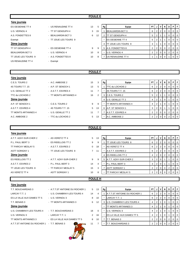#### **POULE E**

| 1ère journée            |                       |    |    |    |                            |                |                |                |             |                |                |          |
|-------------------------|-----------------------|----|----|----|----------------------------|----------------|----------------|----------------|-------------|----------------|----------------|----------|
| ES OESIENNE TT 4        | - US RENAUDINE TT 4   | 13 | 5  | Rg | Equipe                     | <b>PT</b>      |                | JIV            | N           | D              | P.             | l F      |
| U.S. VERNOU 4           | - TT ST GENOUPH 4     | 3  | 15 |    | <b>BEAUJARDIN BCT 3</b>    | 6              | 2 <sub>1</sub> | $\overline{2}$ | 0           | 0              | $\overline{0}$ | l 0      |
| A.S. FONDETTES 8        | - BEAUJARDIN BCT 3    | 6  | 12 |    | <b>ITT ST GENOUPH 4</b>    | 5              | 2 <sub>1</sub> |                |             | 0              | $\overline{0}$ | l 0      |
| Exempt                  | - TT JOUE LES TOURS 9 |    |    |    | <b>ES OESIENNE TT 4</b>    | 5              | 2 <sup>1</sup> |                |             | 0              | $\overline{0}$ | l 0      |
| 2ème journée            |                       |    |    | 4  | <b>TT JOUE LES TOURS 9</b> | 3              |                |                | 0           | 0              | $\overline{0}$ | l 0      |
| TT ST GENOUPH 4         | - ES OESIENNE TT 4    | 9  | 9  | 5  | A.S. FONDETTES 8           | $\overline{2}$ | 2 <sub>1</sub> | $\mathbf 0$    | $\mathbf 0$ | $\overline{2}$ | $\overline{0}$ | <b>0</b> |
| <b>BEAUJARDIN BCT 3</b> | - U.S. VERNOU 4       | 10 | 8  |    | U.S. VERNOU 4              | $\overline{2}$ | 2 <sub>1</sub> | $\mathbf 0$    | $\mathbf 0$ | $\overline{2}$ | $\overline{0}$ | <b>0</b> |
| TT JOUE LES TOURS 9     | - A.S. FONDETTES 8    | 10 | 8  |    | <b>US RENAUDINE TT 4</b>   |                |                |                |             |                |                |          |
| US RENAUDINE TT 4       | - Exempt              |    |    |    |                            |                |                |                |             |                |                |          |
|                         |                       |    |    |    |                            |                |                |                |             |                |                |          |

#### **POULE F**

#### **1ère journée**

| <b>ICIC IQUILICE</b> |                       |    |    |    |                       |      |                |   |                |          |           |                |
|----------------------|-----------------------|----|----|----|-----------------------|------|----------------|---|----------------|----------|-----------|----------------|
| C.E.S. TOURS 2       | - A.C. AMBOISE 2      | 15 | 3  | Rg | Equipe                | PT I | J              |   | N.             | D        | PF        |                |
| 4S TOURS T.T. 15     | - A.P. ST SENOCH 1    | 13 | 5  |    | TTC du LOCHOIS 2      | 6    | 2 <sub>1</sub> | 2 | $\Omega$       | $\Omega$ | $0$   $0$ |                |
| U.S. GENILLE TT 2    | - A.S.T.T. ESVRES 4   | 11 |    |    | 4S TOURS T.T. 15      | 6    | 2 <sub>1</sub> | 2 | $\Omega$       | $\Omega$ | $0$   $0$ |                |
| TTC du LOCHOIS 2     | - TT MONTS ARTANNES 4 | 16 | 2  | 3  | <b>C.E.S. TOURS 2</b> | 5    |                |   |                |          |           | $0$   $0$      |
| 2ème journée         |                       |    |    |    | U.S. GENILLE TT 2     | 4    |                |   | 0              |          |           | 0 <sub>0</sub> |
| A.P. ST SENOCH 1     | $-C.E.S. TOLRS2$      | 9  | 9  |    | TT MONTS ARTANNES 4   | 4    |                |   | 0              |          |           | $0$   $0$      |
| A.S.T.T. ESVRES 4    | - 4S TOURS T.T. 15    | 5  | 13 |    | 6 A.P. ST SENOCH 1    | 3    | 2 <sub>1</sub> |   |                |          |           | 0 <sub>0</sub> |
| TT MONTS ARTANNES 4  | - U.S. GENILLE TT 2   | 11 |    |    | A.S.T.T. ESVRES 4     |      | 2 <sub>1</sub> |   | $\overline{0}$ | 2        | $0$   $0$ |                |
| A.C. AMBOISE 2       | - TTC du LOCHOIS 2    | 5. | 13 |    | A.C. AMBOISE 2        |      | 2 <sub>1</sub> |   | $\Omega$       |          |           | $0$   $0$      |

#### **POULE G**

#### **1ère journée** A.T.T. AZAY-SUR-CHER 2 - AS VERETZ TT 4 5 13 **Rg** B and **Pressure PT J V N D P** F P.L. PAUL BERT 3 - ES RIDELLOIS TT 2 9 9 1 TT JOUE LES TOURS 8 6 2 2 0 0 0 0 0 TT PARCAY MESLAY 5 - A.S.T.T. ESVRES 2 0 18 - AS VERETZ TT 4 6 2 2 0 0 0 0 0 ASTT SORIGNY 1  $\blacksquare$  TT JOUE LES TOURS 8 7 11 - A.S.T.T. ESVRES 2 6 2 2 0 0 0 0 0 **2ème journée** 4 ES RIDELLOIS TT 2 4 2 0 2 0 0 0 ES RIDELLOIS TT 2 - A.T.T. AZAY-SUR-CHER 2 9 9 5 A.T.T. AZAY-SUR-CHER 2 3 2 0 1 1 0 0 A.S.T.T. ESVRES 2 - P.L. PAUL BERT 3 14 4 - P.L. PAUL BERT 3 3 3 2 0 1 1 0 0 TT JOUE LES TOURS 8 - TT PARCAY MESLAY 5 15 3 7 ASTT SORIGNY 1 2 2 0 0 2 0 2 0 0 AS VERETZ TT 4  $-$  ASTT SORIGNY 1  $-$  10  $-$  10  $-$  TT PARCAY MESLAY 5  $2$   $2$   $0$   $0$   $2$   $0$   $0$ **POULE H**

#### **1ère journée**

| T T BOUCHARDAIS 3            |
|------------------------------|
| I ARCAY T T 1                |
| ES LA VILLE AUX DAMES TT 5   |
| T T BENAIS 3                 |
| <u>2ème journée</u>          |
| U.S. CHAMBRAY-LES-TOURS 4    |
| US VERNOU3                   |
| TT MONTS ARTANNES 3          |
| A.T.T.ST ANTOINE DU ROCHER 1 |





| F<br>- A.T.T.ST ANTOINE DU ROCHER 1<br>5<br>Equipe<br>P I<br>13<br>PT<br>V<br>N<br>D<br>Rg<br>J<br><b>A.T.T.ST ANTOINE DU ROCHER 1</b><br>LARCAY T.T. 1<br>- U.S. CHAMBRAY-LES-TOURS 4<br>14<br>$01$ 0<br>6<br>2 <sup>1</sup><br>0<br>0<br>4<br>ES LA VILLE AUX DAMES TT 5<br>- U.S. VERNOU 3<br>8<br>LARCAY T.T. 1<br>10<br>$01$ 0<br>2 <sup>1</sup><br>6<br>0<br>U.S. CHAMBRAY-LES-TOURS 4<br>- TT MONTS ARTANNES 3<br>6<br>T.T. BENAIS 3<br>12<br>$\overline{0}$<br>$\Omega$<br>$\mathbf{2}^{\circ}$<br>-0<br>2ème journée<br>TT MONTS ARTANNES 3<br>$\overline{0}$<br>2 <sub>1</sub><br>$\Omega$<br>18<br>U.S. CHAMBRAY-LES-TOURS 4<br>U.S. VERNOU 3<br>- T.T. BOUCHARDAIS 3<br>$\overline{0}$<br>$\overline{2}$<br>$\overline{0}$<br>0<br><b>ES LA VILLE AUX DAMES TT 5</b><br>$\overline{2}$<br>U.S. VERNOU 3<br>- LARCAY T.T. 1<br>16<br>$\overline{0}$<br>$\overline{0}$<br>$\overline{2}$<br>T.T. BENAIS 3<br>TT MONTS ARTANNES 3<br>- ES LA VILLE AUX DAMES TT 5<br>8<br>2 <sup>1</sup><br>$01$ 0<br>10<br>$\overline{2}$<br>$\overline{0}$<br>- T.T. BENAIS 3<br>. BOUCHARDAIS 3<br>A.T.T.ST ANTOINE DU ROCHER 1<br>2 <sub>1</sub><br>2<br>0 <sup>1</sup><br>11 |                    |  |  |  |  |  |  |
|----------------------------------------------------------------------------------------------------------------------------------------------------------------------------------------------------------------------------------------------------------------------------------------------------------------------------------------------------------------------------------------------------------------------------------------------------------------------------------------------------------------------------------------------------------------------------------------------------------------------------------------------------------------------------------------------------------------------------------------------------------------------------------------------------------------------------------------------------------------------------------------------------------------------------------------------------------------------------------------------------------------------------------------------------------------------------------------------------------------------------------------------------------------------------|--------------------|--|--|--|--|--|--|
|                                                                                                                                                                                                                                                                                                                                                                                                                                                                                                                                                                                                                                                                                                                                                                                                                                                                                                                                                                                                                                                                                                                                                                            | T.T. BOUCHARDAIS 3 |  |  |  |  |  |  |
|                                                                                                                                                                                                                                                                                                                                                                                                                                                                                                                                                                                                                                                                                                                                                                                                                                                                                                                                                                                                                                                                                                                                                                            |                    |  |  |  |  |  |  |
|                                                                                                                                                                                                                                                                                                                                                                                                                                                                                                                                                                                                                                                                                                                                                                                                                                                                                                                                                                                                                                                                                                                                                                            |                    |  |  |  |  |  |  |
|                                                                                                                                                                                                                                                                                                                                                                                                                                                                                                                                                                                                                                                                                                                                                                                                                                                                                                                                                                                                                                                                                                                                                                            |                    |  |  |  |  |  |  |
|                                                                                                                                                                                                                                                                                                                                                                                                                                                                                                                                                                                                                                                                                                                                                                                                                                                                                                                                                                                                                                                                                                                                                                            |                    |  |  |  |  |  |  |
|                                                                                                                                                                                                                                                                                                                                                                                                                                                                                                                                                                                                                                                                                                                                                                                                                                                                                                                                                                                                                                                                                                                                                                            |                    |  |  |  |  |  |  |
|                                                                                                                                                                                                                                                                                                                                                                                                                                                                                                                                                                                                                                                                                                                                                                                                                                                                                                                                                                                                                                                                                                                                                                            |                    |  |  |  |  |  |  |
|                                                                                                                                                                                                                                                                                                                                                                                                                                                                                                                                                                                                                                                                                                                                                                                                                                                                                                                                                                                                                                                                                                                                                                            |                    |  |  |  |  |  |  |
|                                                                                                                                                                                                                                                                                                                                                                                                                                                                                                                                                                                                                                                                                                                                                                                                                                                                                                                                                                                                                                                                                                                                                                            |                    |  |  |  |  |  |  |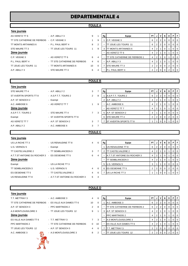# **DEPARTEMENTALE 4**

#### **POULE A**

| AS VERETZ TT 6                               | $-$ AP ARIIY3      |
|----------------------------------------------|--------------------|
| TT STE CATHERINE DE FIERBOIS - C.P. VEIGNE 3 |                    |
| TT MONTS ARTANNES 6                          | - P.L. PAUL BERT 4 |
| STE MAURE TT 3                               | - TT JOUE LES TOUI |
| 2ème journée                                 |                    |
| C.P. VEIGNE 3                                | - AS VERETZ TT 6   |
| P.L. PAUL BERT 4                             | - TT STE CATHERIN  |
| TT JOUE LES TOURS 11                         | - TT MONTS ARTANI  |
| A.P. ABILLY 3                                | - STE MAURE TT 3   |
|                                              |                    |

| AS VERETZ TT 6                               | $-$ A.P. ABILLY 3              | 9  |          | Rg | Equipe                         | PT |                | $\mathsf{v}$   | D | PIF      |                |
|----------------------------------------------|--------------------------------|----|----------|----|--------------------------------|----|----------------|----------------|---|----------|----------------|
| TT STE CATHERINE DE FIERBOIS - C.P. VEIGNE 3 |                                |    | 9        |    | C.P. VEIGNE 3                  |    | 2 <sub>1</sub> |                |   |          | 0 <sub>0</sub> |
| TT MONTS ARTANNES 6                          | - P.L. PAUL BERT 4             | 8  | 2        |    | TT JOUE LES TOURS 11           | 6  |                | $2$   2        |   | $01$ 0   |                |
| STE MAURE TT 3                               | - TT JOUE LES TOURS 11         |    | 9        |    | TT MONTS ARTANNES 6            |    | 2 <sub>1</sub> |                |   |          | $01$ 0         |
| 2ème journée                                 |                                |    |          |    | <b>AS VERETZ TT 6</b>          |    |                |                |   | $\Omega$ | $^{\circ}$ 0   |
| C.P. VEIGNE 3                                | - AS VERETZ TT 6               | 6  | 4        |    | TT STE CATHERINE DE FIERBOIS 1 |    |                |                |   |          | $01$ 0         |
| P.L. PAUL BERT 4                             | - TT STE CATHERINE DE FIERBOIS | 4  | - 6      |    | A.P. ABILLY 3                  |    |                |                |   | $\Omega$ | '0             |
| TT JOUE LES TOURS 11                         | - TT MONTS ARTANNES 6          | 10 | $\Omega$ |    | <b>ISTE MAURE TT 3</b>         |    | 2 <sub>1</sub> | 0 <sub>0</sub> |   |          | $01$ 0         |
| A.P. ABILLY 3                                | - STE MAURE TT 3               | 6  |          |    | P.L. PAUL BERT 4               |    |                | 2 0            |   | $01$ 0   |                |

#### **POULE B**

| 1ère journée           |                          |                |   |    |                               |                |                |                 |                         |   |                |
|------------------------|--------------------------|----------------|---|----|-------------------------------|----------------|----------------|-----------------|-------------------------|---|----------------|
| STE MAURE TT 4         | $-$ A.P. ABILLY 2        | 3              |   | Rg | Equipe                        | PT I           |                | JIV             | <b>N</b>                | D | PF             |
| ST AVERTIN SPORTS TT 8 | - A.S.P.T.T. TOURS 2     | $\overline{2}$ | 8 |    | A.S.P.T.T. TOURS 2            | 6              |                | $2 \mid 2 \mid$ | $\overline{0}$          | 0 | $0$   0        |
| A.P. ST SENOCH 2       | - Exempt                 |                |   |    | A.P. ABILLY 2                 | 4              | 2 <sub>1</sub> |                 | $\mathbf 0$             |   | $0$   0        |
| A.C. AMBOISE 6         | - AS VERETZ TT 7         |                | 9 |    | A.C. AMBOISE 6                | 4              | 2 <sub>1</sub> |                 | -0                      |   | $0$   0        |
| 2ème journée           |                          |                |   |    | AS VERETZ TT 7                | $\overline{4}$ | 2 <sub>1</sub> |                 | $\overline{\mathbf{0}}$ |   | $0 \mid 0$     |
| A.S.P.T.T. TOURS 2     | - STE MAURE TT 4         | $7^{\circ}$    | 3 | 5  | A.P. ST SENOCH 2              | 3              |                |                 | 0                       | 0 | $0\vert 0$     |
| Exempt                 | - ST AVERTIN SPORTS TT 8 |                |   | 6  | <b>STE MAURE TT 4</b>         | $\mathbf{2}$   | 2 <sup>1</sup> | $\overline{0}$  | $\overline{0}$          | 2 | 0 <sup>1</sup> |
| AS VERETZ TT 7         | - A.P. ST SENOCH 2       | 3              |   |    | <b>ST AVERTIN SPORTS TT 8</b> |                |                | $\Omega$        |                         |   | $01$ 0         |
| A.P. ABILLY 2          | - A.C. AMBOISE 6         | 3              |   |    |                               |                |                |                 |                         |   |                |
|                        |                          |                |   |    |                               |                |                |                 |                         |   |                |

#### **POULE C**

| 1ère journée                 |                                |                |   |    |                                     |        |                |                |                |                |     |     |
|------------------------------|--------------------------------|----------------|---|----|-------------------------------------|--------|----------------|----------------|----------------|----------------|-----|-----|
| US LA RICHE TT 3             | - US RENAUDINE TT 8            | 4              | 6 | Rg | Equipe                              | PT I J |                | $\mathsf{v}$   | N              | D              | PIF |     |
| U.S. VERNOU 5                | - Exempt                       |                |   |    | US RENAUDINE TT 8                   | 6      | 2 <sub>1</sub> | $\overline{2}$ | 0              |                |     | - 0 |
| TT CASTELVALERIE 2           | - TT SEMBLANCEEN 3             | 3              |   |    | <b>TT CASTELVALERIE 2</b>           | 4      | 2              |                | 0              |                |     | - 0 |
| A.T.T.ST ANTOINE DU ROCHER 3 | - ES OESIENNE TT 5             | 6              | 4 |    | <b>A.T.T.ST ANTOINE DU ROCHER 3</b> | 4      | 2 <sup>1</sup> |                | 0              |                |     |     |
| 2ème journée                 |                                |                |   |    | <b>TT SEMBLANCEEN 3</b>             | 4      | 2              |                | 0              |                |     | - 0 |
| Exempt                       | - US LA RICHE TT 3             |                |   |    | 5 U.S. VERNOU 5                     | 3      |                |                | $\overline{0}$ |                |     |     |
| TT SEMBLANCEEN 3             | - U.S. VERNOU 5                | 4              | 6 | 6  | <b>IES OESIENNE TT 5</b>            |        | $\overline{2}$ | $\overline{0}$ | $\overline{0}$ | $\overline{2}$ |     | - 0 |
| ES OESIENNE TT 5             | - TT CASTELVALERIE 2           | $\overline{4}$ | 6 |    | US LA RICHE TT 3                    |        |                | $\Omega$       |                |                |     |     |
| US RENAUDINE TT 8            | - A.T.T.ST ANTOINE DU ROCHER 3 | 6              | 4 |    |                                     |        |                |                |                |                |     |     |

#### **POULE D**

| 1ère journée                 |                                |                |               |    |                                |                |                |                |             |                |                |  |
|------------------------------|--------------------------------|----------------|---------------|----|--------------------------------|----------------|----------------|----------------|-------------|----------------|----------------|--|
| T.T. METTRAY 3               | $-$ A.C. AMBOISE 3             | 4              | 6             | Rg | Equipe                         | PT.            | J <sub>1</sub> | V              | <b>N</b>    | D I            | PF             |  |
| TT STE CATHERINE DE FIERBOIS | - ES VILLE AUX DAMES TT 6      | 10             | 0             |    | A.C. AMBOISE 3                 | 6              |                | $2 \mid 2$     | 0           | $\overline{0}$ | 0 <sub>0</sub> |  |
| A.P. ST SENOCH 3             | - PPC MARTINOIS 2              | $\overline{2}$ | 8             |    | TT STE CATHERINE DE FIERBOIS 2 | 6              | 2 <sup>1</sup> | $\overline{2}$ | 0           | $\overline{0}$ | 0 <sub>0</sub> |  |
| A.S MONTLOUIS/LOIRE 3        | - TT JOUE LES TOURS 12         | 9              |               | 3  | <b>A.P. ST SENOCH 3</b>        | 4              | 2 <sub>1</sub> |                | 0           |                | $0$   0        |  |
| 2ème journée                 |                                |                |               | ٠  | <b>PPC MARTINOIS 2</b>         | 4              | 2 <sub>1</sub> |                | 0           |                | $0$   0        |  |
| ES VILLE AUX DAMES TT 6      | - T.T. METTRAY 3               | $\overline{7}$ | 3             |    | A.S MONTLOUIS/LOIRE 3          | 4              | 2 <sub>1</sub> |                | -0          |                | $0$   0        |  |
| PPC MARTINOIS 2              | - TT STE CATHERINE DE FIERBOIS | 0              | 10            |    | ES VILLE AUX DAMES TT 6        | 4              | 2 <sub>1</sub> |                | -0          |                | 0 <sub>0</sub> |  |
| TT JOUE LES TOURS 12         | - A.P. ST SENOCH 3             | 4              | 6             |    | T.T. METTRAY 3                 | 2              | 2 <sub>1</sub> | 0              | $\mathbf 0$ | 2 <sup>1</sup> | 0 <sup>1</sup> |  |
| A.C. AMBOISE 3               | - A.S MONTLOUIS/LOIRE 3        | 8              | $\mathcal{P}$ |    | TT JOUE LES TOURS 12           | $\overline{2}$ | 2 <sub>1</sub> |                |             | 2              | $01$ 0         |  |
| $\gamma_{\rm O}$             |                                |                |               |    |                                |                |                |                |             |                |                |  |

## **1ère journée**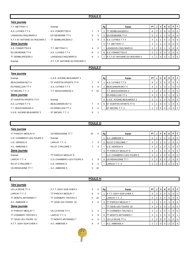#### **POULE E**

| 1ère journée                                    |                                |                |                |    |                               |                |                |                |             |                |                |                |
|-------------------------------------------------|--------------------------------|----------------|----------------|----|-------------------------------|----------------|----------------|----------------|-------------|----------------|----------------|----------------|
| T.T. METTRAY 2                                  | - Exempt                       |                |                | Rg | Equipe                        | PT I           | J              | V              | N           | D              |                | PF             |
| A.S. LUYNES T.T 4                               | - A.S. FONDETTES 9             | $\overline{7}$ | 3              |    | <b>TT SEMBLANCEEN 2</b>       | 6              | 2              | 2              | 0           | 0              | $\overline{0}$ | $\overline{0}$ |
| LANGEAIS-CINQ MARS 6                            | - ES OESIENNE TT 6             | 5              | 5              | 2  | <b>ES OESIENNE TT 6</b>       | 5              | $\overline{2}$ |                |             | $\mathbf{0}$   | $\overline{0}$ | $\overline{0}$ |
| A.T.T.ST ANTOINE DU ROCHER 2 - TT SEMBLANCEEN 2 |                                | 1              | 9              | 3  | A.S. LUYNES T.T 4             | 4              | $\overline{2}$ |                | $\mathbf 0$ |                | $\overline{0}$ | $\overline{0}$ |
| Zème journée                                    |                                |                |                | 4  | <b>T.T. METTRAY 2</b>         | 3              |                |                | $\mathbf 0$ | 0              | $\overline{0}$ | $\overline{0}$ |
| A.S. FONDETTES 9                                | - T.T. METTRAY 2               | 4              | 6              |    | LANGEAIS-CINQ MARS 6          | 3              | $\overline{2}$ | $\mathbf 0$    |             |                | $\overline{0}$ | $\overline{0}$ |
| ES OESIENNE TT 6                                | - A.S. LUYNES T.T 4            | 8              | 2              | 6  | A.S. FONDETTES 9              | $\overline{2}$ | $\overline{2}$ | $\mathbf 0$    | 0           | $\overline{2}$ | $\overline{0}$ | $\overline{0}$ |
| <b>TT SEMBLANCEEN 2</b>                         | - LANGEAIS-CINQ MARS 6         | 9              |                | 7  | A.T.T.ST ANTOINE DU ROCHER 2  |                | $\mathbf 1$    | 0              | $\mathbf 0$ |                | $\overline{0}$ | $\overline{0}$ |
| Exempt                                          | - A.T.T.ST ANTOINE DU ROCHER 2 |                |                |    |                               |                |                |                |             |                |                |                |
|                                                 |                                |                |                |    |                               |                |                |                |             |                |                |                |
|                                                 |                                |                |                |    |                               |                |                |                |             |                |                |                |
|                                                 |                                |                | <b>POULE F</b> |    |                               |                |                |                |             |                |                |                |
| <u>1ère journée</u>                             |                                |                |                |    |                               |                |                |                |             |                |                |                |
| Exempt                                          | - U.S.E. AVOINE-BEAUMONT 2     |                |                | Rg | Equipe                        | PT I           | J              | V              | N           | D              |                | $P$ $F$        |
| <b>BEAUJARDIN BCT 4</b>                         | - ST AVERTIN SPORTS TT 9       | $\overline{7}$ | 3              |    | A.S. LUYNES T.T 5             | 6              | $\overline{2}$ | $\overline{2}$ | $\mathbf 0$ | 0              | $\overline{0}$ | $\overline{0}$ |
| <b>ES RIDELLOIS TT 4</b>                        | - A.S. LUYNES T.T 5            | 4              | 6              | 2  | <b>BEAUJARDIN BCT 4</b>       | 4              | $\overline{2}$ |                | $\Omega$    |                | $\overline{0}$ | $\overline{0}$ |
| ST MICHEL T.T. 2                                | - T.T. BOUCHARDAIS 4           | F              | 10             |    | T.T. BOUCHARDAIS 4            | 4              | $\overline{2}$ |                | $\mathbf 0$ |                | $\overline{0}$ | $\overline{0}$ |
| 2ème journée                                    |                                |                |                |    | <b>ES RIDELLOIS TT 4</b>      | 4              | $\overline{2}$ |                | $\mathbf 0$ |                | $\overline{0}$ | $\overline{0}$ |
| ST AVERTIN SPORTS TT 9                          | - Exempt                       |                |                | 5. | U.S.E. AVOINE-BEAUMONT 2      | 3              |                |                | $\mathbf 0$ | 0              | $\overline{0}$ | $\overline{0}$ |
| A.S. LUYNES T.T 5                               | - BEAUJARDIN BCT 4             | $\overline{7}$ | 3              | 6  | <b>ST AVERTIN SPORTS TT 9</b> |                | $-1$           | 0              | $\mathbf 0$ |                |                | 0 <sub>0</sub> |
| T.T. BOUCHARDAIS 4                              | - ES RIDELLOIS TT 4            | 4              | 6              |    | ST MICHEL T.T. 2              |                | $\overline{2}$ | $\mathbf 0$    | $\Omega$    |                | $\overline{0}$ |                |

#### **POULE G**

| 1ère journée           |
|------------------------|
| TT PARCAY MESLAY 6     |
| U.S. CHAMBRAY-LES-TOUR |
| U.S. VERNOU 6          |
| A.C. AMBOISE 5         |
| 2ème journée           |
| Exempt                 |
| LARCAY T.T. 4          |
| ------------           |

- US RENAUDINE TT 7 A.C. AMBOISE 5 0 10
- 

| Tere fournee              |                             |    |   |    |                            |                |                |                |            |                 |     |
|---------------------------|-----------------------------|----|---|----|----------------------------|----------------|----------------|----------------|------------|-----------------|-----|
| TT PARCAY MESLAY 6        | - US RENAUDINE TT 7         | 10 |   | Rg | Equipe                     | <b>PT</b>      | J              |                | <b>VIN</b> | D               | I F |
| U.S. CHAMBRAY-LES-TOURS 5 | - Exempt                    |    |   |    | A.C. AMBOISE 5             | 6              | 2              | 2 <sub>1</sub> |            | 0 I O           |     |
| U.S. VERNOU 6             | - LARCAY T.T. 4             |    | 3 |    | <b>IRS ST CYR/LOIRE 7</b>  | 4              | $\overline{2}$ |                |            | 0 <sub>0</sub>  |     |
| A.C. AMBOISE 5            | - RS ST CYR/LOIRE 7         |    | 3 |    | U.S. VERNOU 6              | 4              | 2 <sub>1</sub> |                |            | $01$ 0          |     |
| 2ème journée              |                             |    |   |    | <b>ITT PARCAY MESLAY 6</b> | 3              |                |                |            | $01$ 0          |     |
| Exempt                    | - TT PARCAY MESLAY 6        |    |   |    | U.S. CHAMBRAY-LES-TOURS 5  | 3              |                |                |            | 0 <sub>10</sub> |     |
| LARCAY T.T. 4             | - U.S. CHAMBRAY-LES-TOURS 5 |    | 9 |    | US RENAUDINE TT 7          | 2              | $\overline{2}$ |                | $01$ 0     | $01$ 0          |     |
| <b>RS ST CYR/LOIRE 7</b>  | - U.S. VERNOU 6             | 8  |   |    | LARCAY T.T. 4              | $\overline{2}$ | 2 <sup>1</sup> | $\circ$ 1      |            | 0 <sup>1</sup>  |     |

#### **1ère journée**

# TT JOUE LES TOURS 10 - TT MONTS ARTANNES 7 4 A.T.T. AZAY-SUR-CHER 4 - A.C. AMBOISE 4 6

**POULE H**

- US LA RICHE TT 4  **A.T.T. AZAY-SUR-CHER 4** 6 LARCAY T.T. 2 <sup>-</sup> TT PARCAY MESLAY 7 6 4 TT MONTS ARTANNES 7 - TT CORMERY-TRUYES 3 F 10 A.C. AMBOISE 4 - TT JOUE LES TOURS 10 4 6 TT PARCAY MESLAY 7 - US LA RICHE TT 4 6 4 TT CORMERY-TRUYES 3 - LARCAY T.T. 2 2 8
	-
	-

| .                      |                          |    |    |    |                        |      |  |          |          |           |                |
|------------------------|--------------------------|----|----|----|------------------------|------|--|----------|----------|-----------|----------------|
| US LA RICHE TT 4       | - A.T.T. AZAY-SUR-CHER 4 | 4  | 6  | Rg | Equipe                 | PT I |  | N        | D        | PF        |                |
| LARCAY T.T. 2          | - TT PARCAY MESLAY 7     | 6  | 4  |    | A.T.T. AZAY-SUR-CHER 4 | 6    |  |          |          |           | 0 <sub>0</sub> |
| TT MONTS ARTANNES 7    | - TT CORMERY-TRUYES 3    | F. | 10 |    | LARCAY T.T. 2          | 6    |  |          |          | $0$   $0$ |                |
| A.C. AMBOISE 4         | - TT JOUE LES TOURS 10   | 4  | 6  |    | TT PARCAY MESLAY 7     |      |  |          |          | $0$   $0$ |                |
| 2ème journée           |                          |    |    |    | TT JOUE LES TOURS 10   |      |  |          |          |           | 0 <sub>0</sub> |
| TT PARCAY MESLAY 7     | - US LA RICHE TT 4       | 6  | 4  |    | TT CORMERY-TRUYES 3    | 4    |  | 0        |          |           | 0 <sub>0</sub> |
| TT CORMERY-TRUYES 3    | - LARCAY T.T. 2          | 2  | 8  | 6  | TT MONTS ARTANNES 7    | 3    |  | $\Omega$ | $\Omega$ | 011       |                |
| TT JOUE LES TOURS 10   | - TT MONTS ARTANNES 7    | 4  | 6  |    | US LA RICHE TT 4       |      |  |          |          |           | 0 <sub>0</sub> |
| A.T.T. AZAY-SUR-CHER 4 | - A.C. AMBOISE 4         | 6  |    |    | A.C. AMBOISE 4         |      |  |          |          |           | $01$ 0         |